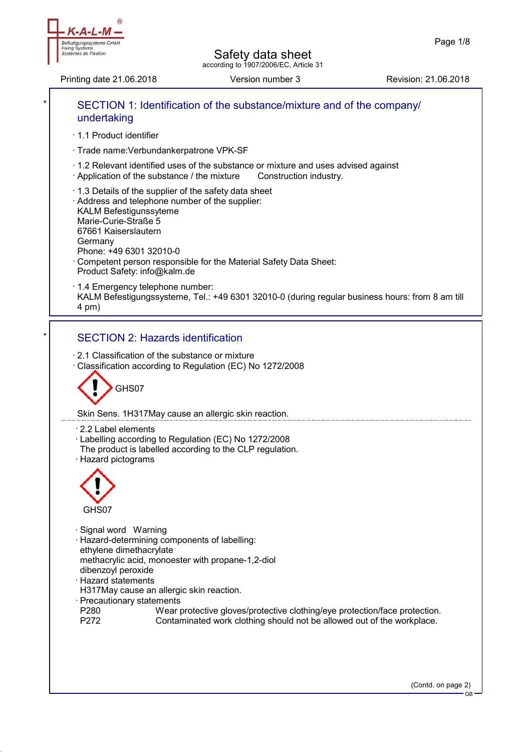Printing date 21.06.2018 Version number 3 Revision: 21.06.2018

efestigungssysteme GmbH

**Fixing Syste** Systèmes de Fixation



(Contd. on page 2)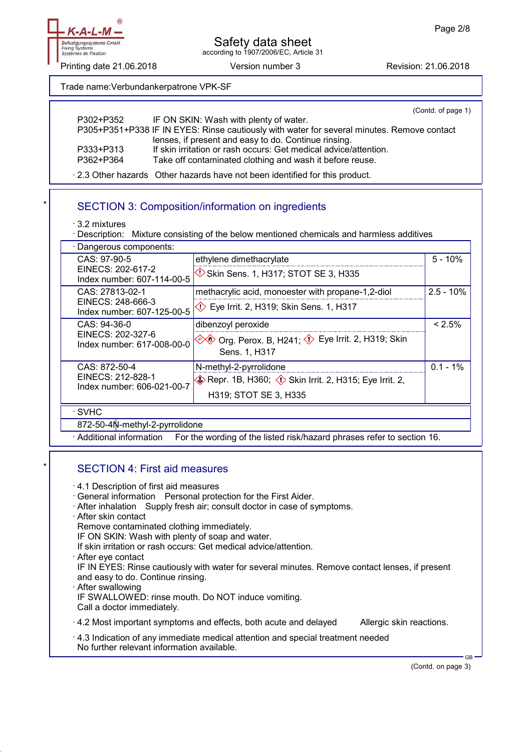

Printing date 21.06.2018 **Version number 3** Revision: 21.06.2018

Trade name:Verbundankerpatrone VPK-SF

|           | (Contd. of page 1)                                                                         |
|-----------|--------------------------------------------------------------------------------------------|
| P302+P352 | IF ON SKIN: Wash with plenty of water.                                                     |
|           | P305+P351+P338 IF IN EYES: Rinse cautiously with water for several minutes. Remove contact |
|           | lenses, if present and easy to do. Continue rinsing.                                       |
| P333+P313 | If skin irritation or rash occurs: Get medical advice/attention.                           |
| P362+P364 | Take off contaminated clothing and wash it before reuse.                                   |
|           |                                                                                            |

· 2.3 Other hazards Other hazards have not been identified for this product.

# SECTION 3: Composition/information on ingredients

· 3.2 mixtures

· Description: Mixture consisting of the below mentioned chemicals and harmless additives

· Dangerous components: CAS: 97-90-5 EINECS: 202-617-2 Index number: 607-114-00-5 ethylene dimethacrylate  $\bigcirc$  Skin Sens. 1, H317; STOT SE 3, H335 5 - 10% CAS: 27813-02-1 EINECS: 248-666-3 Index number: 607-125-00-5 methacrylic acid, monoester with propane-1,2-diol  $\heartsuit$  Eye Irrit. 2, H319; Skin Sens. 1, H317  $2.5 - 10%$ CAS: 94-36-0 EINECS: 202-327-6 Index number: 617-008-00-0 dibenzoyl peroxide **◆◆ Org. Perox. B, H241; ◆ Eye Irrit. 2, H319; Skin** Sens. 1, H317  $< 2.5%$ CAS: 872-50-4 EINECS: 212-828-1 Index number: 606-021-00-7 N-methyl-2-pyrrolidone  $\diamondsuit$  Repr. 1B, H360;  $\diamondsuit$  Skin Irrit. 2, H315; Eye Irrit. 2, H319; STOT SE 3, H335  $0.1 - 1%$ · SVHC 872-50-4N-methyl-2-pyrrolidone · Additional information For the wording of the listed risk/hazard phrases refer to section 16.

#### SECTION 4: First aid measures

- · 4.1 Description of first aid measures
- · General information Personal protection for the First Aider.
- · After inhalation Supply fresh air; consult doctor in case of symptoms.
- · After skin contact

Remove contaminated clothing immediately.

IF ON SKIN: Wash with plenty of soap and water.

If skin irritation or rash occurs: Get medical advice/attention.

· After eye contact

IF IN EYES: Rinse cautiously with water for several minutes. Remove contact lenses, if present and easy to do. Continue rinsing.

- · After swallowing IF SWALLOWED: rinse mouth. Do NOT induce vomiting. Call a doctor immediately.
- $\cdot$  4.2 Most important symptoms and effects, both acute and delayed Allergic skin reactions.
- · 4.3 Indication of any immediate medical attention and special treatment needed No further relevant information available.

(Contd. on page 3)

GB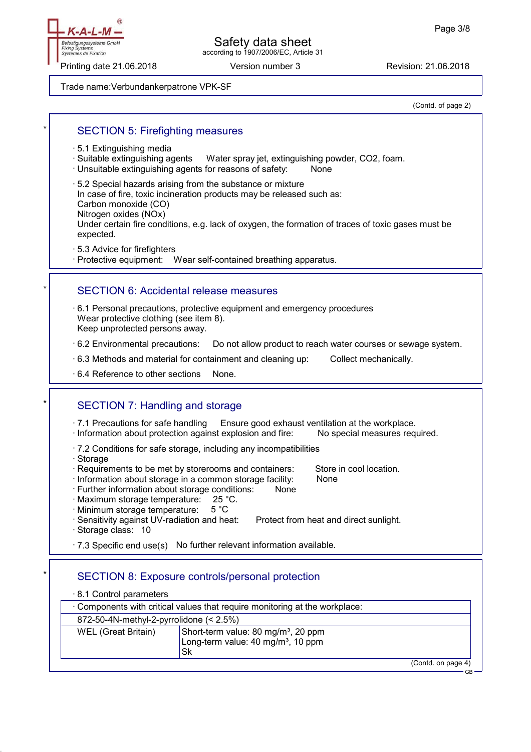Befestigungssysteme GmbH **Fixing Syste** Systèmes de Fixation

#### Safety data sheet according to 1907/2006/EC, Article 31

Printing date 21.06.2018 **Version number 3** Revision: 21.06.2018

Trade name:Verbundankerpatrone VPK-SF

(Contd. of page 2)

#### SECTION 5: Firefighting measures

- · 5.1 Extinguishing media
- · Suitable extinguishing agents Water spray jet, extinguishing powder, CO2, foam.
- · Unsuitable extinguishing agents for reasons of safety: None
- · 5.2 Special hazards arising from the substance or mixture
- In case of fire, toxic incineration products may be released such as: Carbon monoxide (CO)
- Nitrogen oxides (NOx)

Under certain fire conditions, e.g. lack of oxygen, the formation of traces of toxic gases must be expected.

· 5.3 Advice for firefighters

· Protective equipment: Wear self-contained breathing apparatus.

#### SECTION 6: Accidental release measures

· 6.1 Personal precautions, protective equipment and emergency procedures Wear protective clothing (see item 8). Keep unprotected persons away.

· 6.2 Environmental precautions: Do not allow product to reach water courses or sewage system.

· 6.3 Methods and material for containment and cleaning up: Collect mechanically.

 $\cdot$  6.4 Reference to other sections None.

## SECTION 7: Handling and storage

 $\cdot$  7.1 Precautions for safe handling Ensure good exhaust ventilation at the workplace.

- · Information about protection against explosion and fire: No special measures required.
- · 7.2 Conditions for safe storage, including any incompatibilities
- · Storage
- · Requirements to be met by storerooms and containers: Store in cool location.
- · Information about storage in a common storage facility: None
- · Further information about storage conditions: None
- · Maximum storage temperature: 25 °C.
- · Minimum storage temperature: 5 °C
- · Sensitivity against UV-radiation and heat: Protect from heat and direct sunlight. · Storage class: 10

 $\cdot$  7.3 Specific end use(s) No further relevant information available.

## SECTION 8: Exposure controls/personal protection

| 8.1 Control parameters                                                                                                         |  |                    |
|--------------------------------------------------------------------------------------------------------------------------------|--|--------------------|
| Components with critical values that require monitoring at the workplace:                                                      |  |                    |
| 872-50-4N-methyl-2-pyrrolidone $(< 2.5\%)$                                                                                     |  |                    |
| Short-term value: 80 mg/m <sup>3</sup> , 20 ppm<br>WEL (Great Britain)<br>Long-term value: 40 mg/m <sup>3</sup> , 10 ppm<br>Sk |  |                    |
|                                                                                                                                |  | (Contd. on page 4) |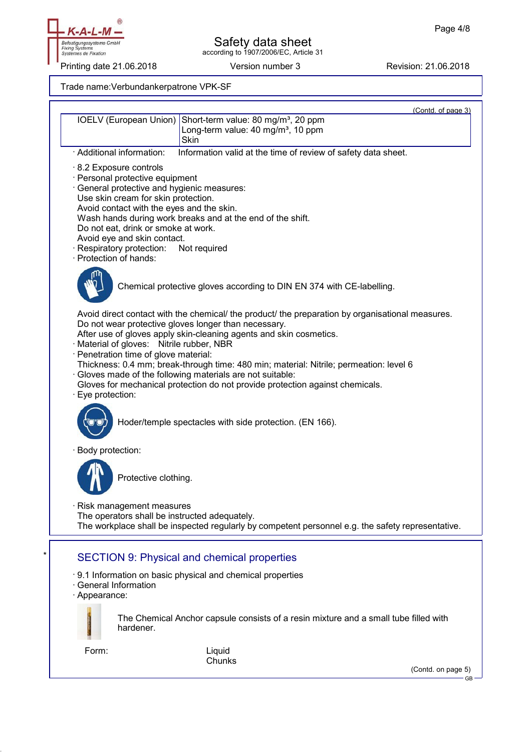

Printing date 21.06.2018 Version number 3 Revision: 21.06.2018

Trade name:Verbundankerpatrone VPK-SF

|                                                                                                                                                                                                                                                                                                                          |                                                                                                                                                                                                                                                                                                                                                                                                                                                                         | (Contd. of page 3) |
|--------------------------------------------------------------------------------------------------------------------------------------------------------------------------------------------------------------------------------------------------------------------------------------------------------------------------|-------------------------------------------------------------------------------------------------------------------------------------------------------------------------------------------------------------------------------------------------------------------------------------------------------------------------------------------------------------------------------------------------------------------------------------------------------------------------|--------------------|
| IOELV (European Union)                                                                                                                                                                                                                                                                                                   | Short-term value: 80 mg/m <sup>3</sup> , 20 ppm<br>Long-term value: 40 mg/m <sup>3</sup> , 10 ppm<br><b>Skin</b>                                                                                                                                                                                                                                                                                                                                                        |                    |
| · Additional information:                                                                                                                                                                                                                                                                                                | Information valid at the time of review of safety data sheet.                                                                                                                                                                                                                                                                                                                                                                                                           |                    |
| 8.2 Exposure controls<br>· Personal protective equipment<br>· General protective and hygienic measures:<br>Use skin cream for skin protection.<br>Avoid contact with the eyes and the skin.<br>Do not eat, drink or smoke at work.<br>Avoid eye and skin contact.<br>· Respiratory protection:<br>· Protection of hands: | Wash hands during work breaks and at the end of the shift.<br>Not required                                                                                                                                                                                                                                                                                                                                                                                              |                    |
|                                                                                                                                                                                                                                                                                                                          | Chemical protective gloves according to DIN EN 374 with CE-labelling.                                                                                                                                                                                                                                                                                                                                                                                                   |                    |
| · Material of gloves: Nitrile rubber, NBR<br>· Penetration time of glove material:<br>Eye protection:                                                                                                                                                                                                                    | Avoid direct contact with the chemical/ the product/ the preparation by organisational measures.<br>Do not wear protective gloves longer than necessary.<br>After use of gloves apply skin-cleaning agents and skin cosmetics.<br>Thickness: 0.4 mm; break-through time: 480 min; material: Nitrile; permeation: level 6<br>· Gloves made of the following materials are not suitable:<br>Gloves for mechanical protection do not provide protection against chemicals. |                    |
|                                                                                                                                                                                                                                                                                                                          | Hoder/temple spectacles with side protection. (EN 166).                                                                                                                                                                                                                                                                                                                                                                                                                 |                    |
| Body protection:                                                                                                                                                                                                                                                                                                         |                                                                                                                                                                                                                                                                                                                                                                                                                                                                         |                    |
| Protective clothing.                                                                                                                                                                                                                                                                                                     |                                                                                                                                                                                                                                                                                                                                                                                                                                                                         |                    |
| Risk management measures<br>The operators shall be instructed adequately.                                                                                                                                                                                                                                                | The workplace shall be inspected regularly by competent personnel e.g. the safety representative.                                                                                                                                                                                                                                                                                                                                                                       |                    |
|                                                                                                                                                                                                                                                                                                                          | <b>SECTION 9: Physical and chemical properties</b>                                                                                                                                                                                                                                                                                                                                                                                                                      |                    |
| · General Information<br>· Appearance:                                                                                                                                                                                                                                                                                   | . 9.1 Information on basic physical and chemical properties                                                                                                                                                                                                                                                                                                                                                                                                             |                    |
| hardener.                                                                                                                                                                                                                                                                                                                | The Chemical Anchor capsule consists of a resin mixture and a small tube filled with                                                                                                                                                                                                                                                                                                                                                                                    |                    |
| Form:                                                                                                                                                                                                                                                                                                                    | Liquid<br>Chunks                                                                                                                                                                                                                                                                                                                                                                                                                                                        |                    |
|                                                                                                                                                                                                                                                                                                                          |                                                                                                                                                                                                                                                                                                                                                                                                                                                                         | (Contd. on page 5) |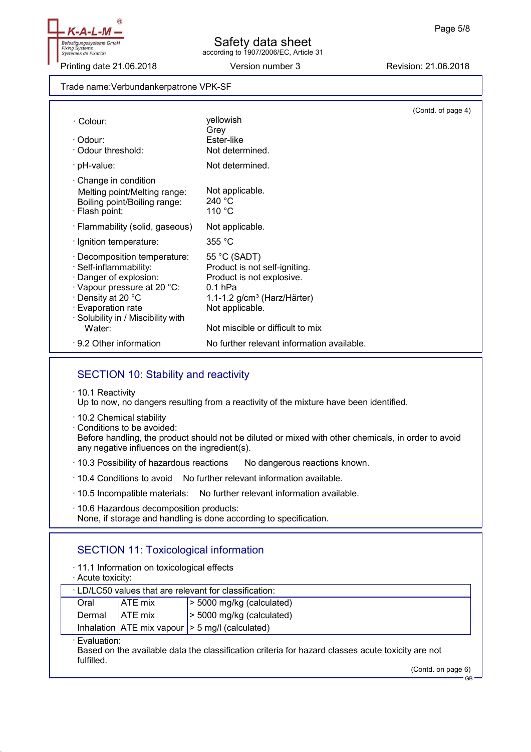Befestigungssysteme GmbH **Fixing Syster** Systèmes de Fixation

Printing date 21.06.2018 **Version number 3** Revision: 21.06.2018

#### Trade name:Verbundankerpatrone VPK-SF

|                                                                                                                                                                                                           |                                                                                                                                                                                 | (Contd. of page 4) |
|-----------------------------------------------------------------------------------------------------------------------------------------------------------------------------------------------------------|---------------------------------------------------------------------------------------------------------------------------------------------------------------------------------|--------------------|
| · Colour:                                                                                                                                                                                                 | yellowish<br>Grey                                                                                                                                                               |                    |
| · Odour:<br>· Odour threshold:                                                                                                                                                                            | Ester-like<br>Not determined.                                                                                                                                                   |                    |
| · pH-value:                                                                                                                                                                                               | Not determined.                                                                                                                                                                 |                    |
| $\cdot$ Change in condition<br>Melting point/Melting range:<br>Boiling point/Boiling range:<br>· Flash point:                                                                                             | Not applicable.<br>240 °C<br>110 °C                                                                                                                                             |                    |
| · Flammability (solid, gaseous)                                                                                                                                                                           | Not applicable.                                                                                                                                                                 |                    |
| · Ignition temperature:                                                                                                                                                                                   | 355 °C                                                                                                                                                                          |                    |
| · Decomposition temperature:<br>· Self-inflammability:<br>· Danger of explosion:<br>Vapour pressure at 20 °C:<br>⋅ Density at 20 °C<br>· Evaporation rate<br>· Solubility in / Miscibility with<br>Water: | 55 °C (SADT)<br>Product is not self-igniting.<br>Product is not explosive.<br>$0.1$ hPa<br>1.1-1.2 $g/cm3$ (Harz/Härter)<br>Not applicable.<br>Not miscible or difficult to mix |                    |
| ⋅ 9.2 Other information                                                                                                                                                                                   | No further relevant information available.                                                                                                                                      |                    |

## SECTION 10: Stability and reactivity

· 10.1 Reactivity

Up to now, no dangers resulting from a reactivity of the mixture have been identified.

- · 10.2 Chemical stability
- · Conditions to be avoided: Before handling, the product should not be diluted or mixed with other chemicals, in order to avoid

any negative influences on the ingredient(s).

· 10.3 Possibility of hazardous reactions No dangerous reactions known.

 $\cdot$  10.4 Conditions to avoid No further relevant information available.

· 10.5 Incompatible materials: No further relevant information available.

· 10.6 Hazardous decomposition products:

None, if storage and handling is done according to specification.

## SECTION 11: Toxicological information

- · 11.1 Information on toxicological effects
- · Acute toxicity:

| . LD/LC50 values that are relevant for classification:                                                                           |                |                             |
|----------------------------------------------------------------------------------------------------------------------------------|----------------|-----------------------------|
| Oral                                                                                                                             | ATE mix        | $>$ 5000 mg/kg (calculated) |
| Dermal                                                                                                                           | <b>ATE</b> mix | $>$ 5000 mg/kg (calculated) |
| Inhalation $ ATE \text{ mix vapour}  > 5 \text{ mg/l}$ (calculated)                                                              |                |                             |
| · Evaluation:<br>Based on the available data the classification criteria for hazard classes acute toxicity are not<br>fulfilled. |                |                             |

(Contd. on page 6)

GB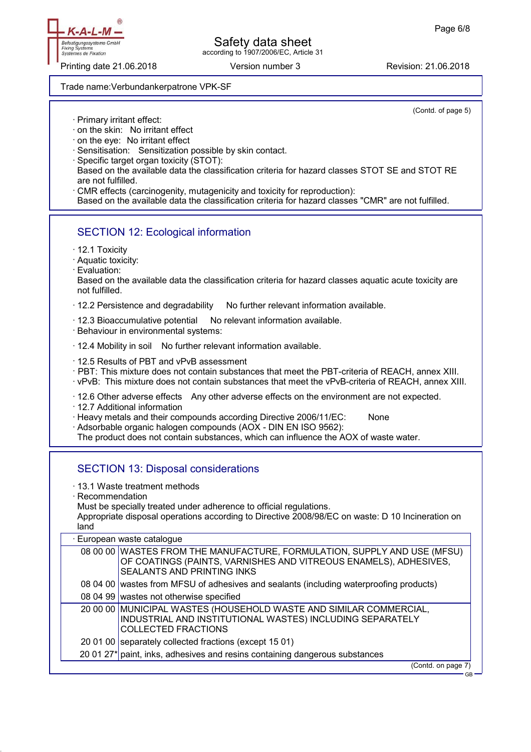Safety data sheet

according to 1907/2006/EC, Article 31

Printing date 21.06.2018 **Version number 3** Revision: 21.06.2018

Trade name:Verbundankerpatrone VPK-SF

(Contd. of page 5)

· Primary irritant effect:

Befestigungssysteme GmbH **Fixing Syster** tèmes de Fixation

Sys

- · on the skin: No irritant effect
- · on the eye: No irritant effect
- · Sensitisation: Sensitization possible by skin contact.
- · Specific target organ toxicity (STOT): Based on the available data the classification criteria for hazard classes STOT SE and STOT RE are not fulfilled.
- CMR effects (carcinogenity, mutagenicity and toxicity for reproduction):

Based on the available data the classification criteria for hazard classes "CMR" are not fulfilled.

## SECTION 12: Ecological information

- · 12.1 Toxicity
- · Aquatic toxicity:
- · Evaluation:

Based on the available data the classification criteria for hazard classes aquatic acute toxicity are not fulfilled.

· 12.2 Persistence and degradability No further relevant information available.

 $\cdot$  12.3 Bioaccumulative potential No relevant information available.

· Behaviour in environmental systems:

· 12.4 Mobility in soil No further relevant information available.

· 12.5 Results of PBT and vPvB assessment

· PBT: This mixture does not contain substances that meet the PBT-criteria of REACH, annex XIII.

· vPvB: This mixture does not contain substances that meet the vPvB-criteria of REACH, annex XIII.

· 12.6 Other adverse effects Any other adverse effects on the environment are not expected.

· 12.7 Additional information

· Heavy metals and their compounds according Directive 2006/11/EC: None

· Adsorbable organic halogen compounds (AOX - DIN EN ISO 9562):

The product does not contain substances, which can influence the AOX of waste water.

#### SECTION 13: Disposal considerations

- · 13.1 Waste treatment methods
- · Recommendation

Must be specially treated under adherence to official regulations.

Appropriate disposal operations according to Directive 2008/98/EC on waste: D 10 Incineration on land

| · European waste catalogue |                                                                                                                                                                            |
|----------------------------|----------------------------------------------------------------------------------------------------------------------------------------------------------------------------|
|                            | 08 00 00 WASTES FROM THE MANUFACTURE, FORMULATION, SUPPLY AND USE (MFSU)<br>OF COATINGS (PAINTS, VARNISHES AND VITREOUS ENAMELS), ADHESIVES,<br>SEALANTS AND PRINTING INKS |
|                            | 08 04 00 wastes from MFSU of adhesives and sealants (including waterproofing products)                                                                                     |
|                            | 08 04 99 wastes not otherwise specified                                                                                                                                    |
|                            | 20 00 00   MUNICIPAL WASTES (HOUSEHOLD WASTE AND SIMILAR COMMERCIAL,<br>INDUSTRIAL AND INSTITUTIONAL WASTES) INCLUDING SEPARATELY<br><b>COLLECTED FRACTIONS</b>            |
|                            | 20 01 00 separately collected fractions (except 15 01)                                                                                                                     |
|                            | 20 01 27 <sup>*</sup> paint, inks, adhesives and resins containing dangerous substances                                                                                    |
|                            | (Contd. on page 7)                                                                                                                                                         |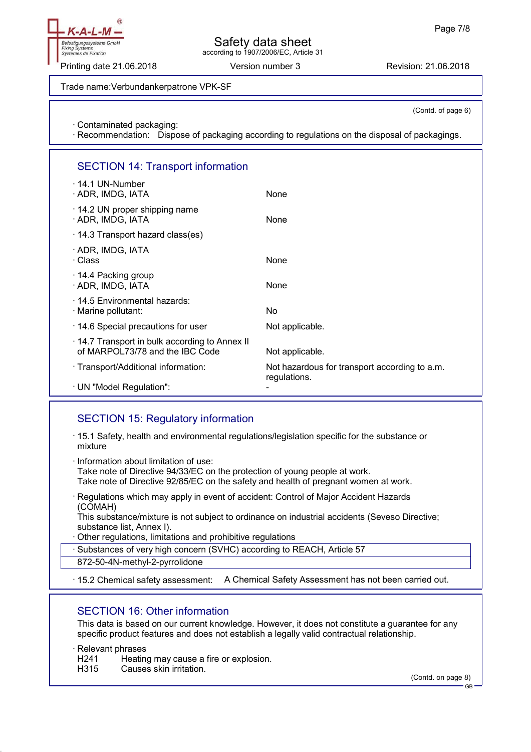

Printing date 21.06.2018 **Version number 3** Revision: 21.06.2018

Trade name:Verbundankerpatrone VPK-SF

(Contd. of page 6)

· Contaminated packaging:

· Recommendation: Dispose of packaging according to regulations on the disposal of packagings.

# SECTION 14: Transport information

| $\cdot$ 14.1 UN-Number<br>· ADR, IMDG, IATA                                     | None                                                          |
|---------------------------------------------------------------------------------|---------------------------------------------------------------|
| $\cdot$ 14.2 UN proper shipping name<br>· ADR, IMDG, IATA                       | None                                                          |
| $\cdot$ 14.3 Transport hazard class(es)                                         |                                                               |
| · ADR, IMDG, IATA<br>· Class                                                    | None                                                          |
| $\cdot$ 14.4 Packing group<br>· ADR, IMDG, IATA                                 | None                                                          |
| ⋅ 14.5 Environmental hazards:<br>· Marine pollutant:                            | No                                                            |
| .14.6 Special precautions for user                                              | Not applicable.                                               |
| 14.7 Transport in bulk according to Annex II<br>of MARPOL73/78 and the IBC Code | Not applicable.                                               |
| · Transport/Additional information:                                             | Not hazardous for transport according to a.m.<br>regulations. |
| · UN "Model Regulation":                                                        |                                                               |

# SECTION 15: Regulatory information

- · 15.1 Safety, health and environmental regulations/legislation specific for the substance or mixture
- · Information about limitation of use: Take note of Directive 94/33/EC on the protection of young people at work. Take note of Directive 92/85/EC on the safety and health of pregnant women at work.
- · Regulations which may apply in event of accident: Control of Major Accident Hazards (COMAH)

This substance/mixture is not subject to ordinance on industrial accidents (Seveso Directive; substance list, Annex I).

Other regulations, limitations and prohibitive regulations

Substances of very high concern (SVHC) according to REACH, Article 57

872-50-4N-methyl-2-pyrrolidone

· 15.2 Chemical safety assessment: A Chemical Safety Assessment has not been carried out.

## SECTION 16: Other information

This data is based on our current knowledge. However, it does not constitute a guarantee for any specific product features and does not establish a legally valid contractual relationship.

· Relevant phrases

H241 Heating may cause a fire or explosion.

H315 Causes skin irritation.

(Contd. on page 8)

GB